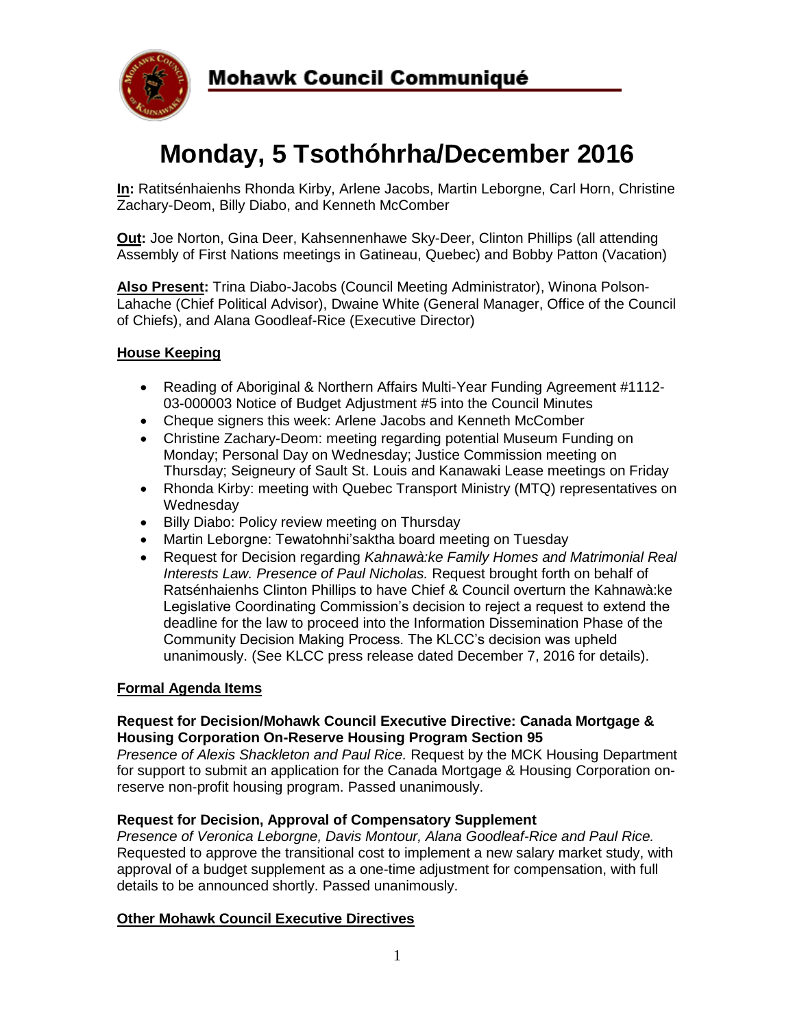

# **Monday, 5 Tsothóhrha/December 2016**

**In:** Ratitsénhaienhs Rhonda Kirby, Arlene Jacobs, Martin Leborgne, Carl Horn, Christine Zachary-Deom, Billy Diabo, and Kenneth McComber

**Out:** Joe Norton, Gina Deer, Kahsennenhawe Sky-Deer, Clinton Phillips (all attending Assembly of First Nations meetings in Gatineau, Quebec) and Bobby Patton (Vacation)

**Also Present:** Trina Diabo-Jacobs (Council Meeting Administrator), Winona Polson-Lahache (Chief Political Advisor), Dwaine White (General Manager, Office of the Council of Chiefs), and Alana Goodleaf-Rice (Executive Director)

## **House Keeping**

- Reading of Aboriginal & Northern Affairs Multi-Year Funding Agreement #1112- 03-000003 Notice of Budget Adjustment #5 into the Council Minutes
- Cheque signers this week: Arlene Jacobs and Kenneth McComber
- Christine Zachary-Deom: meeting regarding potential Museum Funding on Monday; Personal Day on Wednesday; Justice Commission meeting on Thursday; Seigneury of Sault St. Louis and Kanawaki Lease meetings on Friday
- Rhonda Kirby: meeting with Quebec Transport Ministry (MTQ) representatives on Wednesday
- Billy Diabo: Policy review meeting on Thursday
- Martin Leborgne: Tewatohnhi'saktha board meeting on Tuesday
- Request for Decision regarding *Kahnawà:ke Family Homes and Matrimonial Real Interests Law. Presence of Paul Nicholas.* Request brought forth on behalf of Ratsénhaienhs Clinton Phillips to have Chief & Council overturn the Kahnawà:ke Legislative Coordinating Commission's decision to reject a request to extend the deadline for the law to proceed into the Information Dissemination Phase of the Community Decision Making Process. The KLCC's decision was upheld unanimously. (See KLCC press release dated December 7, 2016 for details).

### **Formal Agenda Items**

### **Request for Decision/Mohawk Council Executive Directive: Canada Mortgage & Housing Corporation On-Reserve Housing Program Section 95**

*Presence of Alexis Shackleton and Paul Rice.* Request by the MCK Housing Department for support to submit an application for the Canada Mortgage & Housing Corporation onreserve non-profit housing program. Passed unanimously.

### **Request for Decision, Approval of Compensatory Supplement**

*Presence of Veronica Leborgne, Davis Montour, Alana Goodleaf-Rice and Paul Rice.*  Requested to approve the transitional cost to implement a new salary market study, with approval of a budget supplement as a one-time adjustment for compensation, with full details to be announced shortly. Passed unanimously.

### **Other Mohawk Council Executive Directives**